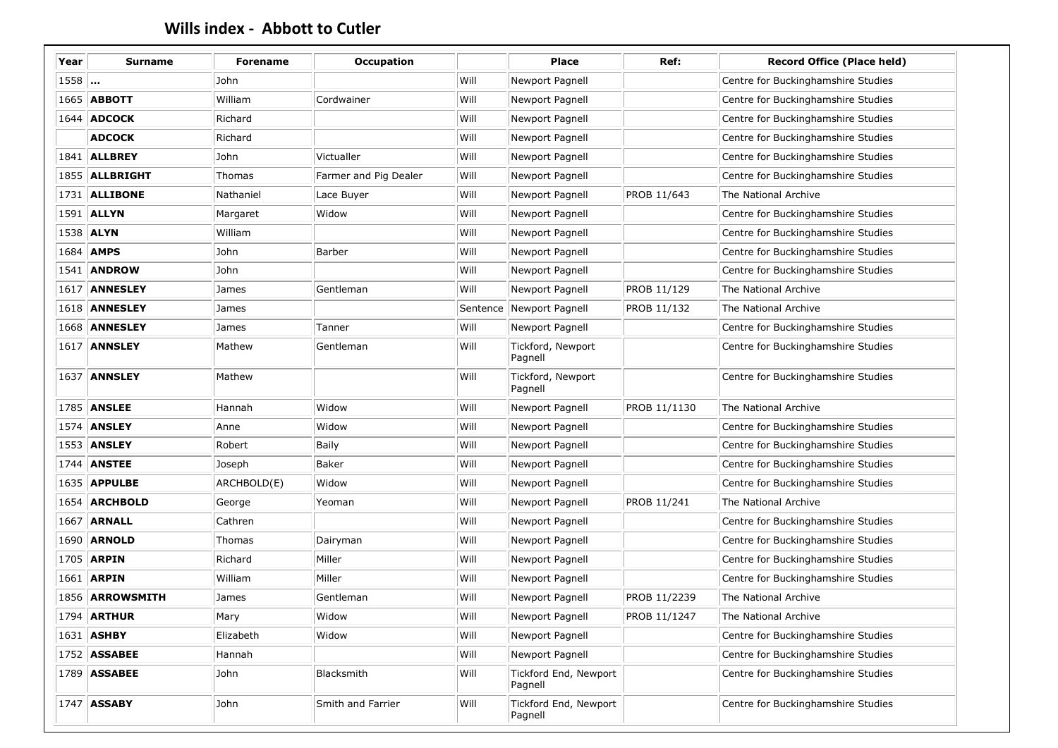| Year   | <b>Surname</b>         | <b>Forename</b> | <b>Occupation</b>     |          | Place                            | Ref:         | <b>Record Office (Place held)</b>  |
|--------|------------------------|-----------------|-----------------------|----------|----------------------------------|--------------|------------------------------------|
| $1558$ |                        | John            |                       | Will     | Newport Pagnell                  |              | Centre for Buckinghamshire Studies |
|        | 1665 ABBOTT            | William         | Cordwainer            | Will     | Newport Pagnell                  |              | Centre for Buckinghamshire Studies |
|        | 1644   ADCOCK          | Richard         |                       | Will     | Newport Pagnell                  |              | Centre for Buckinghamshire Studies |
|        | <b>ADCOCK</b>          | Richard         |                       | Will     | Newport Pagnell                  |              | Centre for Buckinghamshire Studies |
|        | 1841   ALLBREY         | John            | Victualler            | Will     | Newport Pagnell                  |              | Centre for Buckinghamshire Studies |
|        | 1855   ALLBRIGHT       | Thomas          | Farmer and Pig Dealer | Will     | Newport Pagnell                  |              | Centre for Buckinghamshire Studies |
|        | 1731 ALLIBONE          | Nathaniel       | Lace Buyer            | Will     | Newport Pagnell                  | PROB 11/643  | The National Archive               |
|        | 1591 ALLYN             | Margaret        | Widow                 | Will     | Newport Pagnell                  |              | Centre for Buckinghamshire Studies |
|        | 1538 ALYN              | William         |                       | Will     | Newport Pagnell                  |              | Centre for Buckinghamshire Studies |
|        | 1684 AMPS              | John            | Barber                | Will     | Newport Pagnell                  |              | Centre for Buckinghamshire Studies |
|        | 1541   <b>ANDROW</b>   | John            |                       | Will     | Newport Pagnell                  |              | Centre for Buckinghamshire Studies |
|        | 1617 ANNESLEY          | James           | Gentleman             | Will     | Newport Pagnell                  | PROB 11/129  | The National Archive               |
|        | <b>1618   ANNESLEY</b> | James           |                       | Sentence | Newport Pagnell                  | PROB 11/132  | The National Archive               |
|        | <b>1668 ANNESLEY</b>   | James           | Tanner                | Will     | Newport Pagnell                  |              | Centre for Buckinghamshire Studies |
|        | <b>1617 ANNSLEY</b>    | Mathew          | Gentleman             | Will     | Tickford, Newport<br>Pagnell     |              | Centre for Buckinghamshire Studies |
|        | <b>1637 ANNSLEY</b>    | Mathew          |                       | Will     | Tickford, Newport<br>Pagnell     |              | Centre for Buckinghamshire Studies |
|        | 1785   <b>ANSLEE</b>   | Hannah          | Widow                 | Will     | Newport Pagnell                  | PROB 11/1130 | The National Archive               |
|        | 1574   <b>ANSLEY</b>   | Anne            | Widow                 | Will     | Newport Pagnell                  |              | Centre for Buckinghamshire Studies |
|        | 1553   ANSLEY          | Robert          | <b>Baily</b>          | Will     | Newport Pagnell                  |              | Centre for Buckinghamshire Studies |
|        | 1744   <b>ANSTEE</b>   | Joseph          | Baker                 | Will     | Newport Pagnell                  |              | Centre for Buckinghamshire Studies |
|        | 1635 APPULBE           | ARCHBOLD(E)     | Widow                 | Will     | Newport Pagnell                  |              | Centre for Buckinghamshire Studies |
|        | 1654 ARCHBOLD          | George          | Yeoman                | Will     | Newport Pagnell                  | PROB 11/241  | The National Archive               |
| 1667   | <b>ARNALL</b>          | Cathren         |                       | Will     | Newport Pagnell                  |              | Centre for Buckinghamshire Studies |
|        | <b>1690 ARNOLD</b>     | Thomas          | Dairyman              | Will     | Newport Pagnell                  |              | Centre for Buckinghamshire Studies |
|        | 1705 ARPIN             | Richard         | Miller                | Will     | Newport Pagnell                  |              | Centre for Buckinghamshire Studies |
|        | 1661 ARPIN             | William         | Miller                | Will     | Newport Pagnell                  |              | Centre for Buckinghamshire Studies |
|        | 1856 ARROWSMITH        | James           | Gentleman             | Will     | Newport Pagnell                  | PROB 11/2239 | The National Archive               |
|        | $1794$ ARTHUR          | Mary            | Widow                 | Will     | Newport Pagnell                  | PROB 11/1247 | The National Archive               |
|        | 1631 ASHBY             | Elizabeth       | Widow                 | Will     | Newport Pagnell                  |              | Centre for Buckinghamshire Studies |
|        | 1752   <b>ASSABEE</b>  | Hannah          |                       | Will     | Newport Pagnell                  |              | Centre for Buckinghamshire Studies |
|        | 1789 ASSABEE           | John            | Blacksmith            | Will     | Tickford End, Newport<br>Pagnell |              | Centre for Buckinghamshire Studies |
|        | 1747 ASSABY            | John            | Smith and Farrier     | Will     | Tickford End, Newport<br>Pagnell |              | Centre for Buckinghamshire Studies |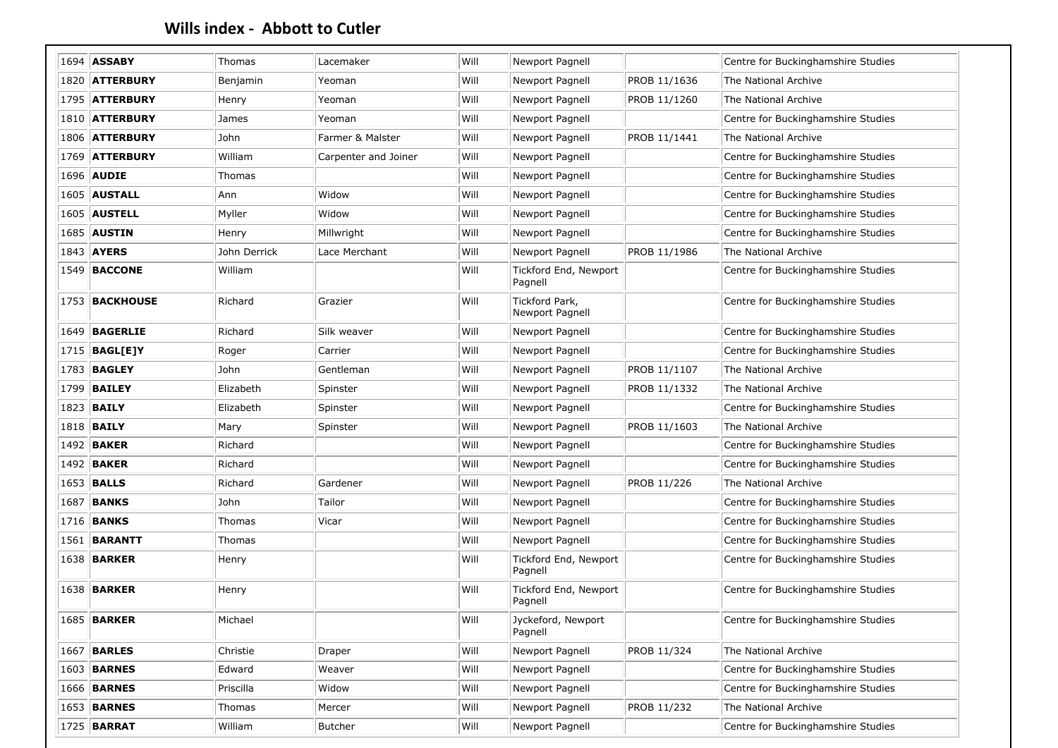|      | 1694 ASSABY            | Thomas       | Lacemaker            | Will | Newport Pagnell                   |              | Centre for Buckinghamshire Studies |
|------|------------------------|--------------|----------------------|------|-----------------------------------|--------------|------------------------------------|
|      | 1820 ATTERBURY         | Benjamin     | Yeoman               | Will | Newport Pagnell                   | PROB 11/1636 | The National Archive               |
|      | 1795 ATTERBURY         | Henry        | Yeoman               | Will | Newport Pagnell                   | PROB 11/1260 | The National Archive               |
|      | 1810 ATTERBURY         | James        | Yeoman               | Will | Newport Pagnell                   |              | Centre for Buckinghamshire Studies |
|      | 1806 ATTERBURY         | John         | Farmer & Malster     | Will | Newport Pagnell                   | PROB 11/1441 | The National Archive               |
|      | 1769 ATTERBURY         | William      | Carpenter and Joiner | Will | Newport Pagnell                   |              | Centre for Buckinghamshire Studies |
|      | 1696 AUDIE             | Thomas       |                      | Will | Newport Pagnell                   |              | Centre for Buckinghamshire Studies |
|      | <b>1605 AUSTALL</b>    | Ann          | Widow                | Will | Newport Pagnell                   |              | Centre for Buckinghamshire Studies |
|      | <b>1605 AUSTELL</b>    | Myller       | Widow                | Will | Newport Pagnell                   |              | Centre for Buckinghamshire Studies |
|      | 1685 AUSTIN            | Henry        | Millwright           | Will | Newport Pagnell                   |              | Centre for Buckinghamshire Studies |
|      | 1843 AYERS             | John Derrick | Lace Merchant        | Will | Newport Pagnell                   | PROB 11/1986 | The National Archive               |
|      | 1549   <b>BACCONE</b>  | William      |                      | Will | Tickford End, Newport<br>Pagnell  |              | Centre for Buckinghamshire Studies |
|      | 1753 BACKHOUSE         | Richard      | Grazier              | Will | Tickford Park,<br>Newport Pagnell |              | Centre for Buckinghamshire Studies |
|      | <b>1649 BAGERLIE</b>   | Richard      | Silk weaver          | Will | Newport Pagnell                   |              | Centre for Buckinghamshire Studies |
|      | 1715   <b>BAGL[E]Y</b> | Roger        | Carrier              | Will | Newport Pagnell                   |              | Centre for Buckinghamshire Studies |
|      | 1783 <b>BAGLEY</b>     | John         | Gentleman            | Will | Newport Pagnell                   | PROB 11/1107 | The National Archive               |
|      | 1799 BAILEY            | Elizabeth    | Spinster             | Will | Newport Pagnell                   | PROB 11/1332 | The National Archive               |
|      | 1823 <b>BAILY</b>      | Elizabeth    | Spinster             | Will | Newport Pagnell                   |              | Centre for Buckinghamshire Studies |
|      | 1818 <b>BAILY</b>      | Mary         | Spinster             | Will | Newport Pagnell                   | PROB 11/1603 | The National Archive               |
|      | 1492 <b>BAKER</b>      | Richard      |                      | Will | Newport Pagnell                   |              | Centre for Buckinghamshire Studies |
|      | 1492 <b>BAKER</b>      | Richard      |                      | Will | Newport Pagnell                   |              | Centre for Buckinghamshire Studies |
|      | 1653 <b>BALLS</b>      | Richard      | Gardener             | Will | Newport Pagnell                   | PROB 11/226  | The National Archive               |
| 1687 | <b>BANKS</b>           | John         | Tailor               | Will | Newport Pagnell                   |              | Centre for Buckinghamshire Studies |
|      | 1716 <b>BANKS</b>      | Thomas       | Vicar                | Will | Newport Pagnell                   |              | Centre for Buckinghamshire Studies |
|      | 1561 BARANTT           | Thomas       |                      | Will | Newport Pagnell                   |              | Centre for Buckinghamshire Studies |
|      | <b>1638 BARKER</b>     | Henry        |                      | Will | Tickford End, Newport<br>Pagnell  |              | Centre for Buckinghamshire Studies |
|      | 1638 <b>BARKER</b>     | Henry        |                      | Will | Tickford End, Newport<br>Pagnell  |              | Centre for Buckinghamshire Studies |
|      | <b>1685 BARKER</b>     | Michael      |                      | Will | Jyckeford, Newport<br>Pagnell     |              | Centre for Buckinghamshire Studies |
|      | <b>1667 BARLES</b>     | Christie     | Draper               | Will | Newport Pagnell                   | PROB 11/324  | The National Archive               |
|      | <b>1603 BARNES</b>     | Edward       | Weaver               | Will | Newport Pagnell                   |              | Centre for Buckinghamshire Studies |
|      | <b>1666 BARNES</b>     | Priscilla    | Widow                | Will | Newport Pagnell                   |              | Centre for Buckinghamshire Studies |
|      | <b>1653 BARNES</b>     | Thomas       | Mercer               | Will | Newport Pagnell                   | PROB 11/232  | The National Archive               |
|      | 1725 BARRAT            | William      | Butcher              | Will | Newport Pagnell                   |              | Centre for Buckinghamshire Studies |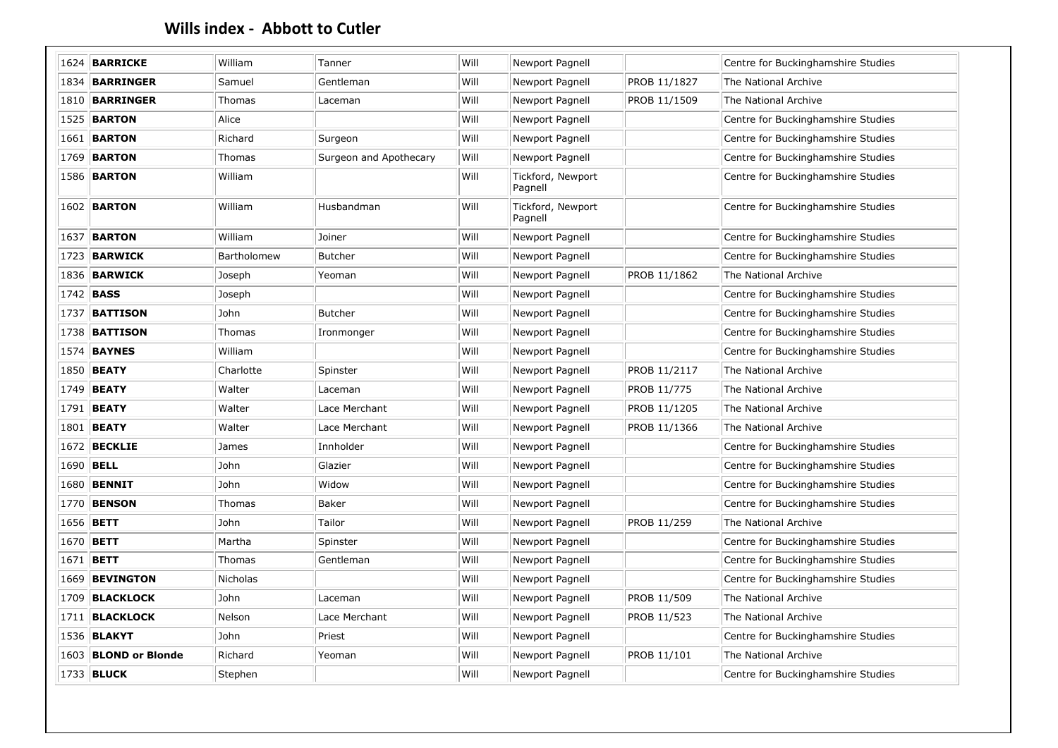|      | 1624 BARRICKE         | William     | Tanner                 | Will | Newport Pagnell              |              | Centre for Buckinghamshire Studies |
|------|-----------------------|-------------|------------------------|------|------------------------------|--------------|------------------------------------|
|      | 1834 BARRINGER        | Samuel      | Gentleman              | Will | Newport Pagnell              | PROB 11/1827 | The National Archive               |
|      | 1810   BARRINGER      | Thomas      | Laceman                | Will | Newport Pagnell              | PROB 11/1509 | The National Archive               |
|      | 1525   <b>BARTON</b>  | Alice       |                        | Will | Newport Pagnell              |              | Centre for Buckinghamshire Studies |
|      | <b>1661 BARTON</b>    | Richard     | Surgeon                | Will | Newport Pagnell              |              | Centre for Buckinghamshire Studies |
|      | 1769 <b>BARTON</b>    | Thomas      | Surgeon and Apothecary | Will | Newport Pagnell              |              | Centre for Buckinghamshire Studies |
|      | <b>1586 BARTON</b>    | William     |                        | Will | Tickford, Newport<br>Pagnell |              | Centre for Buckinghamshire Studies |
|      | <b>1602 BARTON</b>    | William     | Husbandman             | Will | Tickford, Newport<br>Pagnell |              | Centre for Buckinghamshire Studies |
| 1637 | <b>BARTON</b>         | William     | Joiner                 | Will | Newport Pagnell              |              | Centre for Buckinghamshire Studies |
|      | 1723   <b>BARWICK</b> | Bartholomew | <b>Butcher</b>         | Will | Newport Pagnell              |              | Centre for Buckinghamshire Studies |
|      | 1836 BARWICK          | Joseph      | Yeoman                 | Will | Newport Pagnell              | PROB 11/1862 | The National Archive               |
|      | 1742 <b>BASS</b>      | Joseph      |                        | Will | Newport Pagnell              |              | Centre for Buckinghamshire Studies |
| 1737 | <b>BATTISON</b>       | John        | <b>Butcher</b>         | Will | Newport Pagnell              |              | Centre for Buckinghamshire Studies |
|      | 1738 <b>BATTISON</b>  | Thomas      | Ironmonger             | Will | Newport Pagnell              |              | Centre for Buckinghamshire Studies |
|      | 1574 <b>BAYNES</b>    | William     |                        | Will | Newport Pagnell              |              | Centre for Buckinghamshire Studies |
|      | 1850 <b>BEATY</b>     | Charlotte   | Spinster               | Will | Newport Pagnell              | PROB 11/2117 | The National Archive               |
|      | 1749 BEATY            | Walter      | Laceman                | Will | Newport Pagnell              | PROB 11/775  | The National Archive               |
|      | 1791   <b>BEATY</b>   | Walter      | Lace Merchant          | Will | Newport Pagnell              | PROB 11/1205 | The National Archive               |
|      | 1801 BEATY            | Walter      | Lace Merchant          | Will | Newport Pagnell              | PROB 11/1366 | The National Archive               |
|      | 1672 BECKLIE          | James       | Innholder              | Will | Newport Pagnell              |              | Centre for Buckinghamshire Studies |
|      | 1690 BELL             | John        | Glazier                | Will | Newport Pagnell              |              | Centre for Buckinghamshire Studies |
|      | 1680   <b>BENNIT</b>  | John        | Widow                  | Will | Newport Pagnell              |              | Centre for Buckinghamshire Studies |
|      | 1770 BENSON           | Thomas      | Baker                  | Will | Newport Pagnell              |              | Centre for Buckinghamshire Studies |
|      | 1656 <b>BETT</b>      | John        | Tailor                 | Will | Newport Pagnell              | PROB 11/259  | The National Archive               |
|      | 1670 BETT             | Martha      | Spinster               | Will | Newport Pagnell              |              | Centre for Buckinghamshire Studies |
|      | 1671 BETT             | Thomas      | Gentleman              | Will | Newport Pagnell              |              | Centre for Buckinghamshire Studies |
|      | 1669 BEVINGTON        | Nicholas    |                        | Will | Newport Pagnell              |              | Centre for Buckinghamshire Studies |
|      | 1709 BLACKLOCK        | John        | Laceman                | Will | Newport Pagnell              | PROB 11/509  | The National Archive               |
|      | 1711   BLACKLOCK      | Nelson      | Lace Merchant          | Will | Newport Pagnell              | PROB 11/523  | The National Archive               |
|      | 1536 <b>BLAKYT</b>    | John        | Priest                 | Will | Newport Pagnell              |              | Centre for Buckinghamshire Studies |
|      | 1603 BLOND or Blonde  | Richard     | Yeoman                 | Will | Newport Pagnell              | PROB 11/101  | The National Archive               |
|      |                       |             |                        |      |                              |              |                                    |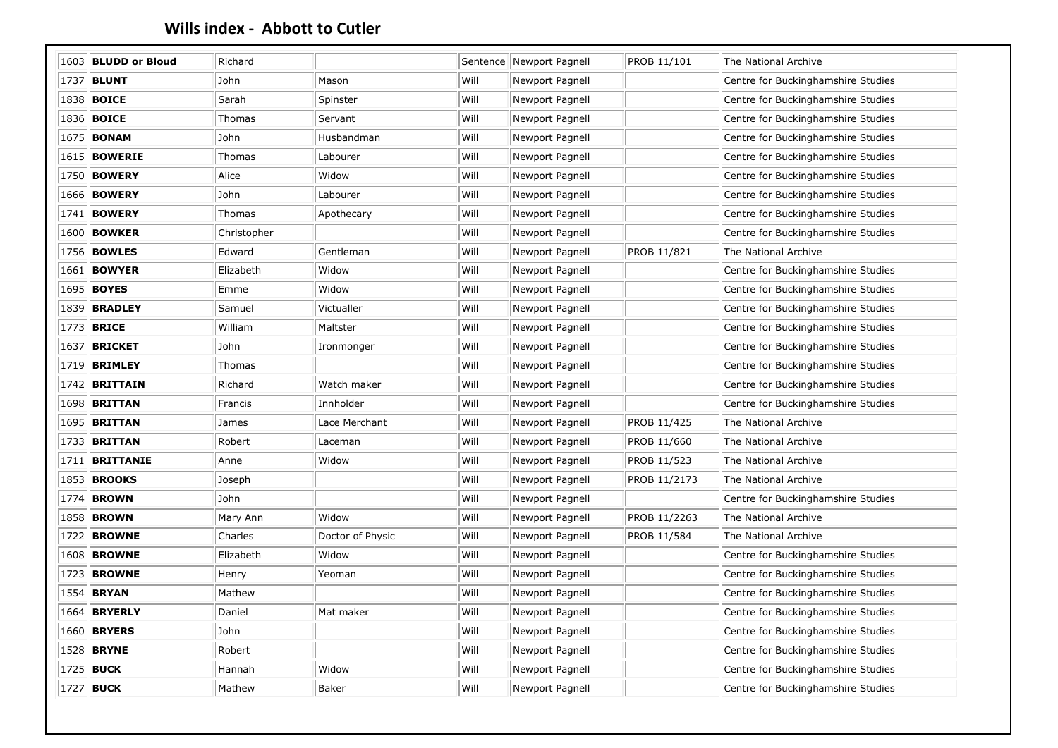|      | 1603 BLUDD or Bloud   | Richard     |                  |      | Sentence Newport Pagnell | PROB 11/101  | The National Archive               |
|------|-----------------------|-------------|------------------|------|--------------------------|--------------|------------------------------------|
| 1737 | <b>BLUNT</b>          | John        | Mason            | Will | Newport Pagnell          |              | Centre for Buckinghamshire Studies |
|      | 1838   <b>BOICE</b>   | Sarah       | Spinster         | Will | Newport Pagnell          |              | Centre for Buckinghamshire Studies |
|      | 1836   <b>BOICE</b>   | Thomas      | Servant          | Will | Newport Pagnell          |              | Centre for Buckinghamshire Studies |
|      | 1675 <b>BONAM</b>     | John        | Husbandman       | Will | Newport Pagnell          |              | Centre for Buckinghamshire Studies |
|      | 1615   <b>BOWERIE</b> | Thomas      | Labourer         | Will | Newport Pagnell          |              | Centre for Buckinghamshire Studies |
| 1750 | <b>BOWERY</b>         | Alice       | Widow            | Will | Newport Pagnell          |              | Centre for Buckinghamshire Studies |
|      | 1666   <b>BOWERY</b>  | John        | Labourer         | Will | Newport Pagnell          |              | Centre for Buckinghamshire Studies |
|      | 1741   <b>BOWERY</b>  | Thomas      | Apothecary       | Will | Newport Pagnell          |              | Centre for Buckinghamshire Studies |
|      | 1600   <b>BOWKER</b>  | Christopher |                  | Will | Newport Pagnell          |              | Centre for Buckinghamshire Studies |
|      | 1756 <b>BOWLES</b>    | Edward      | Gentleman        | Will | Newport Pagnell          | PROB 11/821  | The National Archive               |
|      | 1661   <b>BOWYER</b>  | Elizabeth   | Widow            | Will | Newport Pagnell          |              | Centre for Buckinghamshire Studies |
|      | 1695 BOYES            | Emme        | Widow            | Will | Newport Pagnell          |              | Centre for Buckinghamshire Studies |
| 1839 | <b>BRADLEY</b>        | Samuel      | Victualler       | Will | Newport Pagnell          |              | Centre for Buckinghamshire Studies |
|      | 1773 BRICE            | William     | Maltster         | Will | Newport Pagnell          |              | Centre for Buckinghamshire Studies |
| 1637 | <b>BRICKET</b>        | John        | Ironmonger       | Will | Newport Pagnell          |              | Centre for Buckinghamshire Studies |
|      | 1719   <b>BRIMLEY</b> | Thomas      |                  | Will | Newport Pagnell          |              | Centre for Buckinghamshire Studies |
|      | $1742$ BRITTAIN       | Richard     | Watch maker      | Will | Newport Pagnell          |              | Centre for Buckinghamshire Studies |
|      | 1698 <b>BRITTAN</b>   | Francis     | Innholder        | Will | Newport Pagnell          |              | Centre for Buckinghamshire Studies |
|      | 1695 <b>BRITTAN</b>   | James       | Lace Merchant    | Will | Newport Pagnell          | PROB 11/425  | The National Archive               |
|      | 1733   <b>BRITTAN</b> | Robert      | Laceman          | Will | Newport Pagnell          | PROB 11/660  | The National Archive               |
|      | 1711 BRITTANIE        | Anne        | Widow            | Will | Newport Pagnell          | PROB 11/523  | The National Archive               |
|      | 1853 <b>BROOKS</b>    | Joseph      |                  | Will | Newport Pagnell          | PROB 11/2173 | The National Archive               |
| 1774 | <b>BROWN</b>          | John        |                  | Will | Newport Pagnell          |              | Centre for Buckinghamshire Studies |
|      | 1858 <b>BROWN</b>     | Mary Ann    | Widow            | Will | Newport Pagnell          | PROB 11/2263 | The National Archive               |
|      | 1722   <b>BROWNE</b>  | Charles     | Doctor of Physic | Will | Newport Pagnell          | PROB 11/584  | The National Archive               |
|      | <b>1608 BROWNE</b>    | Elizabeth   | Widow            | Will | Newport Pagnell          |              | Centre for Buckinghamshire Studies |
|      | 1723   <b>BROWNE</b>  | Henry       | Yeoman           | Will | Newport Pagnell          |              | Centre for Buckinghamshire Studies |
| 1554 | <b>BRYAN</b>          | Mathew      |                  | Will | Newport Pagnell          |              | Centre for Buckinghamshire Studies |
|      | 1664   <b>BRYERLY</b> | Daniel      | Mat maker        | Will | Newport Pagnell          |              | Centre for Buckinghamshire Studies |
|      | 1660   <b>BRYERS</b>  | John        |                  | Will | Newport Pagnell          |              | Centre for Buckinghamshire Studies |
|      | 1528 <b>BRYNE</b>     | Robert      |                  | Will | Newport Pagnell          |              | Centre for Buckinghamshire Studies |
|      | 1725 <b>BUCK</b>      | Hannah      | Widow            | Will | Newport Pagnell          |              | Centre for Buckinghamshire Studies |
|      | 1727 <b>BUCK</b>      | Mathew      | Baker            | Will | Newport Pagnell          |              | Centre for Buckinghamshire Studies |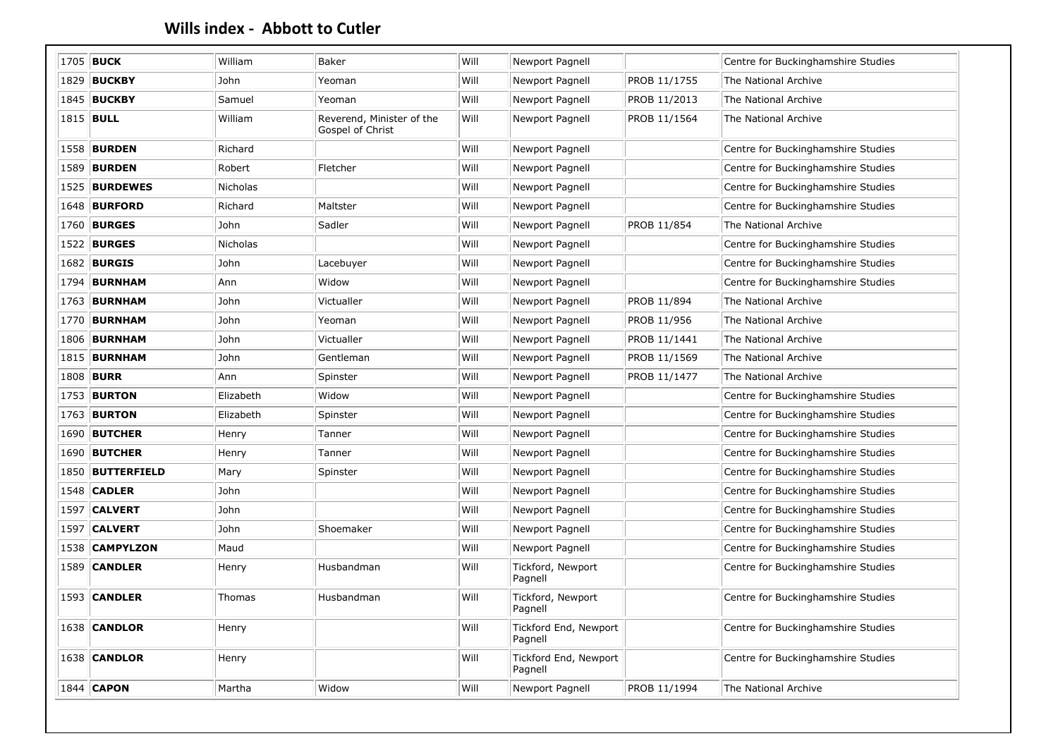| 1705 BUCK             | William         | Baker                                         | Will | Newport Pagnell                  |              | Centre for Buckinghamshire Studies |
|-----------------------|-----------------|-----------------------------------------------|------|----------------------------------|--------------|------------------------------------|
| 1829 <b>BUCKBY</b>    | John            | Yeoman                                        | Will | Newport Pagnell                  | PROB 11/1755 | The National Archive               |
| 1845 <b>BUCKBY</b>    | Samuel          | Yeoman                                        | Will | Newport Pagnell                  | PROB 11/2013 | The National Archive               |
| 1815 <b>BULL</b>      | William         | Reverend, Minister of the<br>Gospel of Christ | Will | Newport Pagnell                  | PROB 11/1564 | The National Archive               |
| 1558 <b>BURDEN</b>    | Richard         |                                               | Will | Newport Pagnell                  |              | Centre for Buckinghamshire Studies |
| 1589 BURDEN           | Robert          | Fletcher                                      | Will | Newport Pagnell                  |              | Centre for Buckinghamshire Studies |
| 1525 BURDEWES         | Nicholas        |                                               | Will | Newport Pagnell                  |              | Centre for Buckinghamshire Studies |
| 1648   <b>BURFORD</b> | Richard         | Maltster                                      | Will | Newport Pagnell                  |              | Centre for Buckinghamshire Studies |
| 1760 <b>BURGES</b>    | John            | Sadler                                        | Will | Newport Pagnell                  | PROB 11/854  | The National Archive               |
| 1522 <b>BURGES</b>    | <b>Nicholas</b> |                                               | Will | Newport Pagnell                  |              | Centre for Buckinghamshire Studies |
| 1682 <b>BURGIS</b>    | John            | Lacebuyer                                     | Will | Newport Pagnell                  |              | Centre for Buckinghamshire Studies |
| 1794 <b>BURNHAM</b>   | Ann             | Widow                                         | Will | Newport Pagnell                  |              | Centre for Buckinghamshire Studies |
| 1763 <b>BURNHAM</b>   | John            | Victualler                                    | Will | Newport Pagnell                  | PROB 11/894  | The National Archive               |
| 1770   <b>BURNHAM</b> | John            | Yeoman                                        | Will | Newport Pagnell                  | PROB 11/956  | The National Archive               |
| 1806   <b>BURNHAM</b> | John            | Victualler                                    | Will | Newport Pagnell                  | PROB 11/1441 | The National Archive               |
| 1815 <b>BURNHAM</b>   | John            | Gentleman                                     | Will | Newport Pagnell                  | PROB 11/1569 | The National Archive               |
| 1808 <b>BURR</b>      | Ann             | Spinster                                      | Will | <b>Newport Pagnell</b>           | PROB 11/1477 | The National Archive               |
| 1753 <b>BURTON</b>    | Elizabeth       | Widow                                         | Will | Newport Pagnell                  |              | Centre for Buckinghamshire Studies |
| 1763 <b>BURTON</b>    | Elizabeth       | Spinster                                      | Will | Newport Pagnell                  |              | Centre for Buckinghamshire Studies |
| <b>1690 BUTCHER</b>   | Henry           | Tanner                                        | Will | Newport Pagnell                  |              | Centre for Buckinghamshire Studies |
| 1690 BUTCHER          | Henry           | Tanner                                        | Will | Newport Pagnell                  |              | Centre for Buckinghamshire Studies |
| 1850 BUTTERFIELD      | Mary            | Spinster                                      | Will | Newport Pagnell                  |              | Centre for Buckinghamshire Studies |
| 1548 CADLER           | John            |                                               | Will | Newport Pagnell                  |              | Centre for Buckinghamshire Studies |
| 1597   <b>CALVERT</b> | John            |                                               | Will | Newport Pagnell                  |              | Centre for Buckinghamshire Studies |
| 1597   <b>CALVERT</b> | John            | Shoemaker                                     | Will | Newport Pagnell                  |              | Centre for Buckinghamshire Studies |
| 1538 CAMPYLZON        | Maud            |                                               | Will | Newport Pagnell                  |              | Centre for Buckinghamshire Studies |
| <b>1589 CANDLER</b>   | Henry           | Husbandman                                    | Will | Tickford, Newport<br>Pagnell     |              | Centre for Buckinghamshire Studies |
| 1593 CANDLER          | Thomas          | Husbandman                                    | Will | Tickford, Newport<br>Pagnell     |              | Centre for Buckinghamshire Studies |
| 1638 CANDLOR          | Henry           |                                               | Will | Tickford End, Newport<br>Pagnell |              | Centre for Buckinghamshire Studies |
| 1638 CANDLOR          | Henry           |                                               | Will | Tickford End, Newport<br>Pagnell |              | Centre for Buckinghamshire Studies |
| 1844 CAPON            | Martha          | Widow                                         | Will | Newport Pagnell                  | PROB 11/1994 | The National Archive               |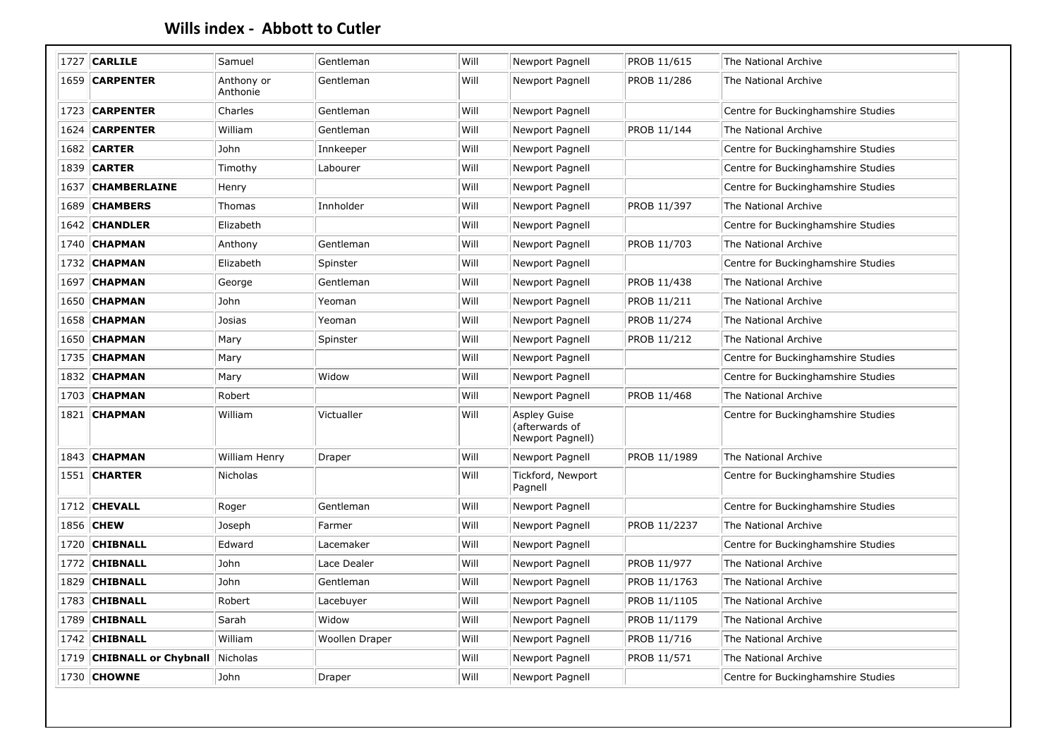|      | 1727 CARLILE              | Samuel                 | Gentleman      | Will | Newport Pagnell                                           | PROB 11/615  | The National Archive               |
|------|---------------------------|------------------------|----------------|------|-----------------------------------------------------------|--------------|------------------------------------|
|      | 1659 CARPENTER            | Anthony or<br>Anthonie | Gentleman      | Will | Newport Pagnell                                           | PROB 11/286  | The National Archive               |
|      | 1723 CARPENTER            | Charles                | Gentleman      | Will | Newport Pagnell                                           |              | Centre for Buckinghamshire Studies |
| 1624 | <b>CARPENTER</b>          | William                | Gentleman      | Will | Newport Pagnell                                           | PROB 11/144  | The National Archive               |
|      | <b>1682 CARTER</b>        | John                   | Innkeeper      | Will | Newport Pagnell                                           |              | Centre for Buckinghamshire Studies |
|      | 1839 CARTER               | Timothy                | Labourer       | Will | Newport Pagnell                                           |              | Centre for Buckinghamshire Studies |
| 1637 | <b>CHAMBERLAINE</b>       | Henry                  |                | Will | Newport Pagnell                                           |              | Centre for Buckinghamshire Studies |
|      | 1689 CHAMBERS             | Thomas                 | Innholder      | Will | Newport Pagnell                                           | PROB 11/397  | The National Archive               |
|      | 1642 CHANDLER             | Elizabeth              |                | Will | Newport Pagnell                                           |              | Centre for Buckinghamshire Studies |
|      | 1740   <b>CHAPMAN</b>     | Anthony                | Gentleman      | Will | Newport Pagnell                                           | PROB 11/703  | The National Archive               |
|      | 1732 CHAPMAN              | Elizabeth              | Spinster       | Will | Newport Pagnell                                           |              | Centre for Buckinghamshire Studies |
|      | 1697 CHAPMAN              | George                 | Gentleman      | Will | Newport Pagnell                                           | PROB 11/438  | The National Archive               |
|      | 1650 CHAPMAN              | <b>John</b>            | Yeoman         | Will | Newport Pagnell                                           | PROB 11/211  | The National Archive               |
|      | 1658 <b>CHAPMAN</b>       | Josias                 | Yeoman         | Will | Newport Pagnell                                           | PROB 11/274  | The National Archive               |
|      | <b>1650 CHAPMAN</b>       | Mary                   | Spinster       | Will | Newport Pagnell                                           | PROB 11/212  | The National Archive               |
|      | 1735 CHAPMAN              | Mary                   |                | Will | Newport Pagnell                                           |              | Centre for Buckinghamshire Studies |
|      | <b>1832 CHAPMAN</b>       | Mary                   | Widow          | Will | Newport Pagnell                                           |              | Centre for Buckinghamshire Studies |
|      | 1703 CHAPMAN              | Robert                 |                | Will | Newport Pagnell                                           | PROB 11/468  | The National Archive               |
|      | 1821 CHAPMAN              | William                | Victualler     | Will | <b>Aspley Guise</b><br>(afterwards of<br>Newport Pagnell) |              | Centre for Buckinghamshire Studies |
|      | 1843 CHAPMAN              | William Henry          | Draper         | Will | Newport Pagnell                                           | PROB 11/1989 | The National Archive               |
|      | <b>1551   CHARTER</b>     | Nicholas               |                | Will | Tickford, Newport<br>Pagnell                              |              | Centre for Buckinghamshire Studies |
|      | 1712   <b>CHEVALL</b>     | Roger                  | Gentleman      | Will | Newport Pagnell                                           |              | Centre for Buckinghamshire Studies |
|      | 1856 CHEW                 | Joseph                 | Farmer         | Will | Newport Pagnell                                           | PROB 11/2237 | The National Archive               |
|      | 1720 CHIBNALL             | Edward                 | Lacemaker      | Will | Newport Pagnell                                           |              | Centre for Buckinghamshire Studies |
|      | 1772 CHIBNALL             | John                   | Lace Dealer    | Will | Newport Pagnell                                           | PROB 11/977  | The National Archive               |
|      | 1829 CHIBNALL             | John                   | Gentleman      | Will | Newport Pagnell                                           | PROB 11/1763 | The National Archive               |
|      | 1783   CHIBNALL           | Robert                 | Lacebuyer      | Will | Newport Pagnell                                           | PROB 11/1105 | The National Archive               |
|      | 1789 CHIBNALL             | Sarah                  | Widow          | Will | Newport Pagnell                                           | PROB 11/1179 | The National Archive               |
|      | 1742 CHIBNALL             | William                | Woollen Draper | Will | Newport Pagnell                                           | PROB 11/716  | The National Archive               |
|      | 1719 CHIBNALL or Chybnall | Nicholas               |                | Will | Newport Pagnell                                           | PROB 11/571  | The National Archive               |
|      | 1730 CHOWNE               | John                   | Draper         | Will | Newport Pagnell                                           |              | Centre for Buckinghamshire Studies |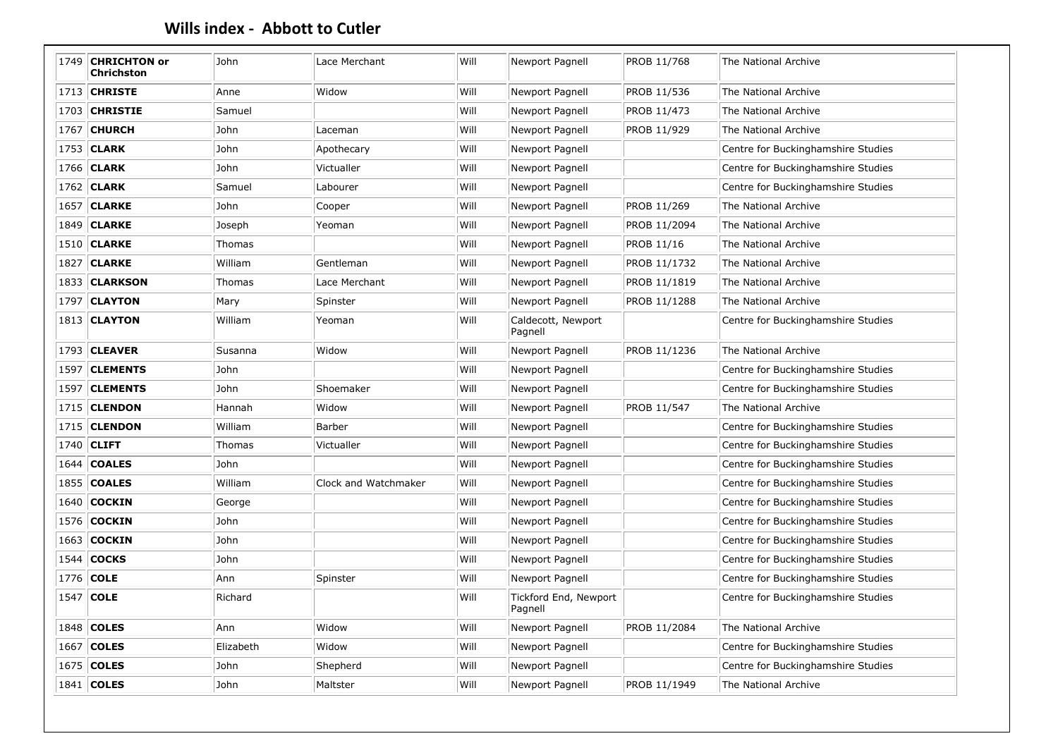| 1749 | <b>CHRICHTON or</b><br><b>Chrichston</b> | John      | Lace Merchant        | Will | Newport Pagnell                  | PROB 11/768  | The National Archive               |
|------|------------------------------------------|-----------|----------------------|------|----------------------------------|--------------|------------------------------------|
|      | 1713   <b>CHRISTE</b>                    | Anne      | Widow                | Will | Newport Pagnell                  | PROB 11/536  | The National Archive               |
|      | 1703 CHRISTIE                            | Samuel    |                      | Will | Newport Pagnell                  | PROB 11/473  | The National Archive               |
|      | 1767 CHURCH                              | John      | Laceman              | Will | Newport Pagnell                  | PROB 11/929  | The National Archive               |
|      | 1753 CLARK                               | John      | Apothecary           | Will | Newport Pagnell                  |              | Centre for Buckinghamshire Studies |
|      | 1766 CLARK                               | John      | Victualler           | Will | Newport Pagnell                  |              | Centre for Buckinghamshire Studies |
|      | 1762 CLARK                               | Samuel    | Labourer             | Will | Newport Pagnell                  |              | Centre for Buckinghamshire Studies |
|      | <b>1657 CLARKE</b>                       | John      | Cooper               | Will | Newport Pagnell                  | PROB 11/269  | The National Archive               |
|      | 1849 CLARKE                              | Joseph    | Yeoman               | Will | Newport Pagnell                  | PROB 11/2094 | The National Archive               |
|      | 1510 CLARKE                              | Thomas    |                      | Will | Newport Pagnell                  | PROB 11/16   | The National Archive               |
|      | 1827   <b>CLARKE</b>                     | William   | Gentleman            | Will | Newport Pagnell                  | PROB 11/1732 | The National Archive               |
|      | 1833 CLARKSON                            | Thomas    | Lace Merchant        | Will | Newport Pagnell                  | PROB 11/1819 | The National Archive               |
|      | 1797 CLAYTON                             | Mary      | Spinster             | Will | Newport Pagnell                  | PROB 11/1288 | The National Archive               |
|      | 1813 CLAYTON                             | William   | Yeoman               | Will | Caldecott, Newport<br>Pagnell    |              | Centre for Buckinghamshire Studies |
|      | 1793   CLEAVER                           | Susanna   | Widow                | Will | Newport Pagnell                  | PROB 11/1236 | The National Archive               |
|      | 1597   CLEMENTS                          | John      |                      | Will | Newport Pagnell                  |              | Centre for Buckinghamshire Studies |
|      | 1597 CLEMENTS                            | John      | Shoemaker            | Will | Newport Pagnell                  |              | Centre for Buckinghamshire Studies |
|      | 1715   <b>CLENDON</b>                    | Hannah    | Widow                | Will | Newport Pagnell                  | PROB 11/547  | The National Archive               |
|      | 1715 CLENDON                             | William   | Barber               | Will | Newport Pagnell                  |              | Centre for Buckinghamshire Studies |
| 1740 | <b>CLIFT</b>                             | Thomas    | Victualler           | Will | Newport Pagnell                  |              | Centre for Buckinghamshire Studies |
|      | 1644   <b>COALES</b>                     | John      |                      | Will | Newport Pagnell                  |              | Centre for Buckinghamshire Studies |
|      | 1855 COALES                              | William   | Clock and Watchmaker | Will | Newport Pagnell                  |              | Centre for Buckinghamshire Studies |
| 1640 | <b>COCKIN</b>                            | George    |                      | Will | Newport Pagnell                  |              | Centre for Buckinghamshire Studies |
| 1576 | <b>COCKIN</b>                            | John      |                      | Will | Newport Pagnell                  |              | Centre for Buckinghamshire Studies |
| 1663 | <b>COCKIN</b>                            | John      |                      | Will | Newport Pagnell                  |              | Centre for Buckinghamshire Studies |
| 1544 | <b>COCKS</b>                             | John      |                      | Will | Newport Pagnell                  |              | Centre for Buckinghamshire Studies |
| 1776 | <b>COLE</b>                              | Ann       | Spinster             | Will | Newport Pagnell                  |              | Centre for Buckinghamshire Studies |
| 1547 | <b>COLE</b>                              | Richard   |                      | Will | Tickford End, Newport<br>Pagnell |              | Centre for Buckinghamshire Studies |
| 1848 | <b>COLES</b>                             | Ann       | Widow                | Will | Newport Pagnell                  | PROB 11/2084 | The National Archive               |
| 1667 | <b>COLES</b>                             | Elizabeth | Widow                | Will | Newport Pagnell                  |              | Centre for Buckinghamshire Studies |
| 1675 | <b>COLES</b>                             | John      | Shepherd             | Will | Newport Pagnell                  |              | Centre for Buckinghamshire Studies |
|      | 1841 COLES                               | John      | Maltster             | Will | Newport Pagnell                  | PROB 11/1949 | The National Archive               |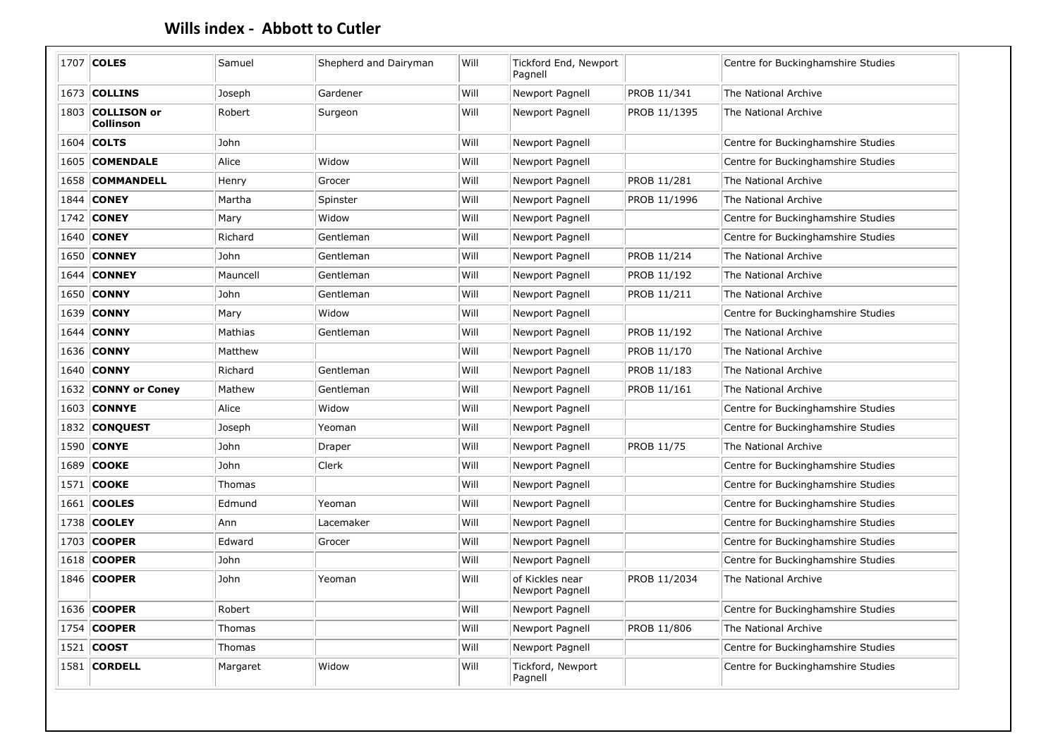|      | 1707 COLES                    | Samuel   | Shepherd and Dairyman | Will | Tickford End, Newport<br>Pagnell   |                   | Centre for Buckinghamshire Studies |
|------|-------------------------------|----------|-----------------------|------|------------------------------------|-------------------|------------------------------------|
|      | 1673 COLLINS                  | Joseph   | Gardener              | Will | Newport Pagnell                    | PROB 11/341       | The National Archive               |
|      | 1803 COLLISON or<br>Collinson | Robert   | Surgeon               | Will | Newport Pagnell                    | PROB 11/1395      | The National Archive               |
|      | 1604 COLTS                    | John     |                       | Will | Newport Pagnell                    |                   | Centre for Buckinghamshire Studies |
|      | 1605 COMENDALE                | Alice    | Widow                 | Will | Newport Pagnell                    |                   | Centre for Buckinghamshire Studies |
|      | 1658 COMMANDELL               | Henry    | Grocer                | Will | Newport Pagnell                    | PROB 11/281       | The National Archive               |
| 1844 | <b>CONEY</b>                  | Martha   | Spinster              | Will | Newport Pagnell                    | PROB 11/1996      | The National Archive               |
|      | 1742 CONEY                    | Mary     | Widow                 | Will | Newport Pagnell                    |                   | Centre for Buckinghamshire Studies |
|      | 1640 CONEY                    | Richard  | Gentleman             | Will | Newport Pagnell                    |                   | Centre for Buckinghamshire Studies |
| 1650 | <b>CONNEY</b>                 | John     | Gentleman             | Will | Newport Pagnell                    | PROB 11/214       | The National Archive               |
| 1644 | <b>CONNEY</b>                 | Mauncell | Gentleman             | Will | Newport Pagnell                    | PROB 11/192       | The National Archive               |
|      | 1650 CONNY                    | John     | Gentleman             | Will | Newport Pagnell                    | PROB 11/211       | The National Archive               |
|      | 1639 CONNY                    | Mary     | Widow                 | Will | Newport Pagnell                    |                   | Centre for Buckinghamshire Studies |
|      | 1644   <b>CONNY</b>           | Mathias  | Gentleman             | Will | Newport Pagnell                    | PROB 11/192       | The National Archive               |
|      | 1636 CONNY                    | Matthew  |                       | Will | Newport Pagnell                    | PROB 11/170       | The National Archive               |
|      | 1640 CONNY                    | Richard  | Gentleman             | Will | Newport Pagnell                    | PROB 11/183       | The National Archive               |
|      | 1632 CONNY or Coney           | Mathew   | Gentleman             | Will | Newport Pagnell                    | PROB 11/161       | The National Archive               |
|      | 1603 CONNYE                   | Alice    | Widow                 | Will | Newport Pagnell                    |                   | Centre for Buckinghamshire Studies |
|      | 1832 CONQUEST                 | Joseph   | Yeoman                | Will | Newport Pagnell                    |                   | Centre for Buckinghamshire Studies |
|      | 1590 CONYE                    | John     | Draper                | Will | Newport Pagnell                    | <b>PROB 11/75</b> | The National Archive               |
| 1689 | <b>COOKE</b>                  | John     | Clerk                 | Will | Newport Pagnell                    |                   | Centre for Buckinghamshire Studies |
|      | 1571   <b>COOKE</b>           | Thomas   |                       | Will | Newport Pagnell                    |                   | Centre for Buckinghamshire Studies |
|      | 1661   <b>COOLES</b>          | Edmund   | Yeoman                | Will | Newport Pagnell                    |                   | Centre for Buckinghamshire Studies |
|      | 1738 COOLEY                   | Ann      | Lacemaker             | Will | Newport Pagnell                    |                   | Centre for Buckinghamshire Studies |
|      | 1703 COOPER                   | Edward   | Grocer                | Will | Newport Pagnell                    |                   | Centre for Buckinghamshire Studies |
|      | 1618 COOPER                   | John     |                       | Will | Newport Pagnell                    |                   | Centre for Buckinghamshire Studies |
|      | 1846 COOPER                   | John     | Yeoman                | Will | of Kickles near<br>Newport Pagnell | PROB 11/2034      | The National Archive               |
|      | 1636 COOPER                   | Robert   |                       | Will | Newport Pagnell                    |                   | Centre for Buckinghamshire Studies |
|      | 1754 COOPER                   | Thomas   |                       | Will | Newport Pagnell                    | PROB 11/806       | The National Archive               |
|      | 1521 <b>COOST</b>             | Thomas   |                       | Will | Newport Pagnell                    |                   | Centre for Buckinghamshire Studies |
|      | 1581 CORDELL                  | Margaret | Widow                 | Will | Tickford, Newport<br>Pagnell       |                   | Centre for Buckinghamshire Studies |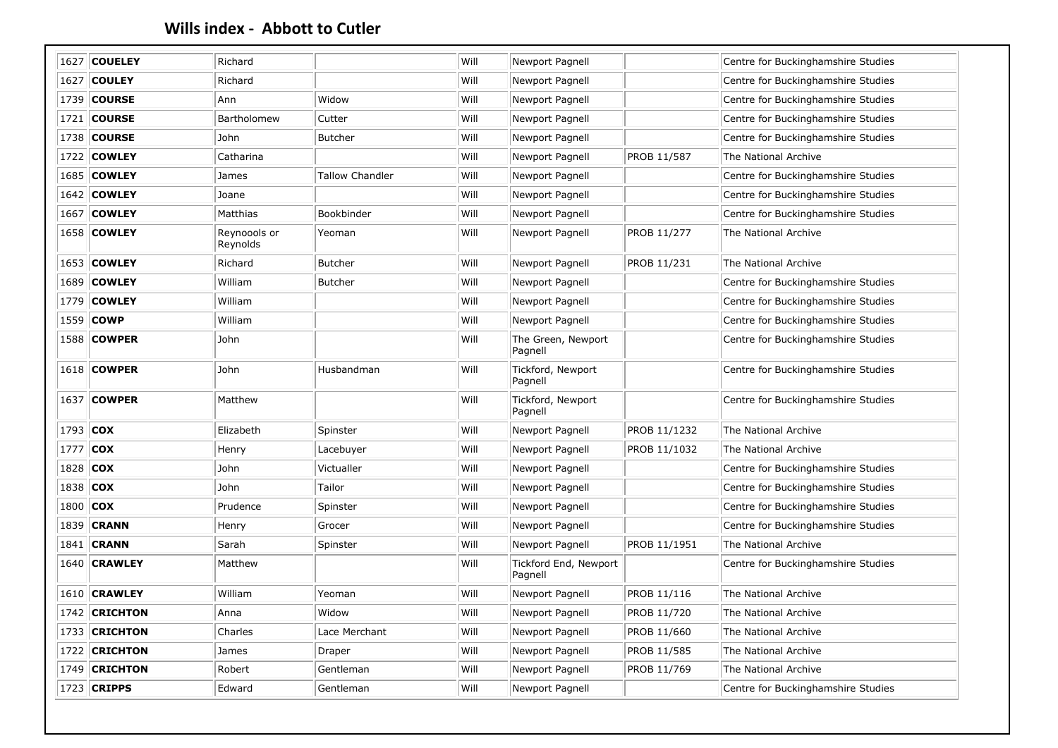|      | 1627   <b>COUELEY</b> | Richard                  |                        | Will | Newport Pagnell                  |              | Centre for Buckinghamshire Studies |
|------|-----------------------|--------------------------|------------------------|------|----------------------------------|--------------|------------------------------------|
|      | 1627 COULEY           | Richard                  |                        | Will | Newport Pagnell                  |              | Centre for Buckinghamshire Studies |
|      | 1739 COURSE           | Ann                      | Widow                  | Will | Newport Pagnell                  |              | Centre for Buckinghamshire Studies |
|      | 1721   <b>COURSE</b>  | Bartholomew              | Cutter                 | Will | Newport Pagnell                  |              | Centre for Buckinghamshire Studies |
|      | 1738 COURSE           | John                     | Butcher                | Will | Newport Pagnell                  |              | Centre for Buckinghamshire Studies |
| 1722 | <b>COWLEY</b>         | Catharina                |                        | Will | Newport Pagnell                  | PROB 11/587  | The National Archive               |
|      | 1685 COWLEY           | James                    | <b>Tallow Chandler</b> | Will | Newport Pagnell                  |              | Centre for Buckinghamshire Studies |
|      | 1642 COWLEY           | Joane                    |                        | Will | Newport Pagnell                  |              | Centre for Buckinghamshire Studies |
|      | 1667   <b>COWLEY</b>  | Matthias                 | Bookbinder             | Will | Newport Pagnell                  |              | Centre for Buckinghamshire Studies |
|      | <b>1658 COWLEY</b>    | Reynoools or<br>Reynolds | Yeoman                 | Will | Newport Pagnell                  | PROB 11/277  | The National Archive               |
|      | 1653 COWLEY           | Richard                  | <b>Butcher</b>         | Will | Newport Pagnell                  | PROB 11/231  | The National Archive               |
|      | 1689 COWLEY           | William                  | <b>Butcher</b>         | Will | Newport Pagnell                  |              | Centre for Buckinghamshire Studies |
|      | 1779 COWLEY           | William                  |                        | Will | Newport Pagnell                  |              | Centre for Buckinghamshire Studies |
|      | 1559 COWP             | William                  |                        | Will | Newport Pagnell                  |              | Centre for Buckinghamshire Studies |
|      | 1588 COWPER           | John                     |                        | Will | The Green, Newport<br>Pagnell    |              | Centre for Buckinghamshire Studies |
|      | 1618 COWPER           | John                     | Husbandman             | Will | Tickford, Newport<br>Pagnell     |              | Centre for Buckinghamshire Studies |
|      | 1637 COWPER           | Matthew                  |                        | Will | Tickford, Newport<br>Pagnell     |              | Centre for Buckinghamshire Studies |
|      | 1793 COX              | Elizabeth                | Spinster               | Will | Newport Pagnell                  | PROB 11/1232 | The National Archive               |
| 1777 | <b>COX</b>            | Henry                    | Lacebuyer              | Will | Newport Pagnell                  | PROB 11/1032 | The National Archive               |
|      | 1828 COX              | John                     | Victualler             | Will | Newport Pagnell                  |              | Centre for Buckinghamshire Studies |
|      | 1838 COX              | John                     | Tailor                 | Will | Newport Pagnell                  |              | Centre for Buckinghamshire Studies |
|      | 1800 COX              | Prudence                 | Spinster               | Will | Newport Pagnell                  |              | Centre for Buckinghamshire Studies |
|      | 1839 <b>CRANN</b>     | Henry                    | Grocer                 | Will | Newport Pagnell                  |              | Centre for Buckinghamshire Studies |
|      | 1841 <b>CRANN</b>     | Sarah                    | Spinster               | Will | Newport Pagnell                  | PROB 11/1951 | The National Archive               |
| 1640 | <b>CRAWLEY</b>        | Matthew                  |                        | Will | Tickford End, Newport<br>Pagnell |              | Centre for Buckinghamshire Studies |
|      | <b>1610 CRAWLEY</b>   | William                  | Yeoman                 | Will | Newport Pagnell                  | PROB 11/116  | The National Archive               |
|      | 1742 CRICHTON         | Anna                     | Widow                  | Will | Newport Pagnell                  | PROB 11/720  | The National Archive               |
|      | 1733 CRICHTON         | Charles                  | Lace Merchant          | Will | Newport Pagnell                  | PROB 11/660  | The National Archive               |
|      | 1722 CRICHTON         | James                    | Draper                 | Will | Newport Pagnell                  | PROB 11/585  | The National Archive               |
| 1749 | <b>CRICHTON</b>       | Robert                   | Gentleman              | Will | Newport Pagnell                  | PROB 11/769  | The National Archive               |
|      | 1723 CRIPPS           | Edward                   | Gentleman              | Will | Newport Pagnell                  |              | Centre for Buckinghamshire Studies |
|      |                       |                          |                        |      |                                  |              |                                    |